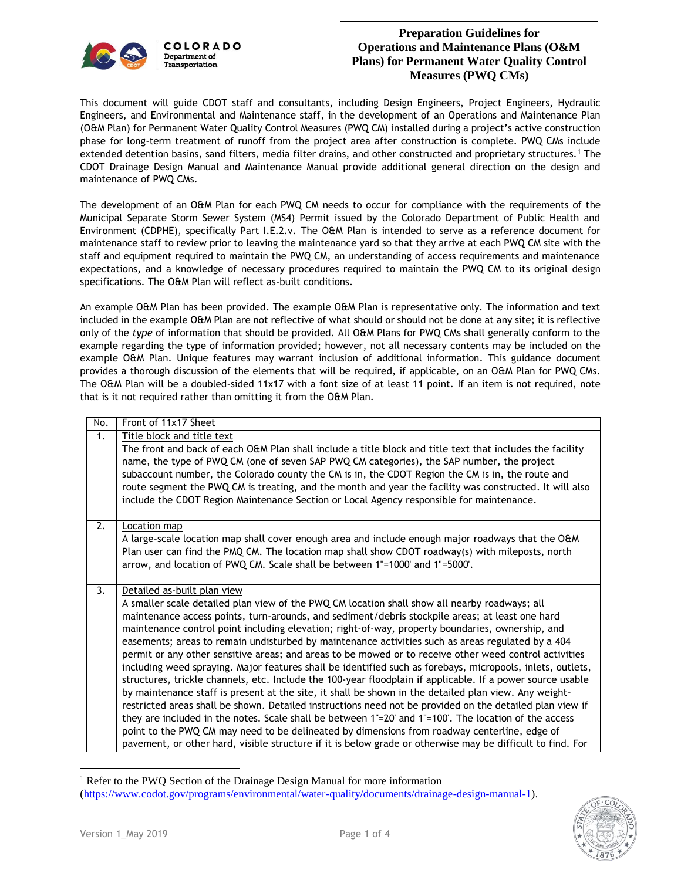

This document will guide CDOT staff and consultants, including Design Engineers, Project Engineers, Hydraulic Engineers, and Environmental and Maintenance staff, in the development of an Operations and Maintenance Plan (O&M Plan) for Permanent Water Quality Control Measures (PWQ CM) installed during a project's active construction phase for long-term treatment of runoff from the project area after construction is complete. PWQ CMs include extended detention basins, sand filters, media filter drains, and other constructed and proprietary structures.<sup>1</sup> The CDOT Drainage Design Manual and Maintenance Manual provide additional general direction on the design and maintenance of PWQ CMs.

The development of an O&M Plan for each PWQ CM needs to occur for compliance with the requirements of the Municipal Separate Storm Sewer System (MS4) Permit issued by the Colorado Department of Public Health and Environment (CDPHE), specifically Part I.E.2.v. The O&M Plan is intended to serve as a reference document for maintenance staff to review prior to leaving the maintenance yard so that they arrive at each PWQ CM site with the staff and equipment required to maintain the PWQ CM, an understanding of access requirements and maintenance expectations, and a knowledge of necessary procedures required to maintain the PWQ CM to its original design specifications. The O&M Plan will reflect as-built conditions.

An example O&M Plan has been provided. The example O&M Plan is representative only. The information and text included in the example O&M Plan are not reflective of what should or should not be done at any site; it is reflective only of the *type* of information that should be provided. All O&M Plans for PWQ CMs shall generally conform to the example regarding the type of information provided; however, not all necessary contents may be included on the example O&M Plan. Unique features may warrant inclusion of additional information. This guidance document provides a thorough discussion of the elements that will be required, if applicable, on an O&M Plan for PWQ CMs. The O&M Plan will be a doubled-sided 11x17 with a font size of at least 11 point. If an item is not required, note that is it not required rather than omitting it from the O&M Plan.

| No. | Front of 11x17 Sheet                                                                                       |
|-----|------------------------------------------------------------------------------------------------------------|
| 1.  | Title block and title text                                                                                 |
|     | The front and back of each O&M Plan shall include a title block and title text that includes the facility  |
|     | name, the type of PWQ CM (one of seven SAP PWQ CM categories), the SAP number, the project                 |
|     | subaccount number, the Colorado county the CM is in, the CDOT Region the CM is in, the route and           |
|     | route segment the PWQ CM is treating, and the month and year the facility was constructed. It will also    |
|     | include the CDOT Region Maintenance Section or Local Agency responsible for maintenance.                   |
|     |                                                                                                            |
| 2.  | Location map                                                                                               |
|     | A large-scale location map shall cover enough area and include enough major roadways that the O&M          |
|     | Plan user can find the PMQ CM. The location map shall show CDOT roadway(s) with mileposts, north           |
|     | arrow, and location of PWQ CM. Scale shall be between 1"=1000' and 1"=5000'.                               |
|     |                                                                                                            |
| 3.  | Detailed as-built plan view                                                                                |
|     | A smaller scale detailed plan view of the PWQ CM location shall show all nearby roadways; all              |
|     | maintenance access points, turn-arounds, and sediment/debris stockpile areas; at least one hard            |
|     | maintenance control point including elevation; right-of-way, property boundaries, ownership, and           |
|     | easements; areas to remain undisturbed by maintenance activities such as areas regulated by a 404          |
|     | permit or any other sensitive areas; and areas to be mowed or to receive other weed control activities     |
|     | including weed spraying. Major features shall be identified such as forebays, micropools, inlets, outlets, |
|     | structures, trickle channels, etc. Include the 100-year floodplain if applicable. If a power source usable |
|     | by maintenance staff is present at the site, it shall be shown in the detailed plan view. Any weight-      |
|     | restricted areas shall be shown. Detailed instructions need not be provided on the detailed plan view if   |
|     | they are included in the notes. Scale shall be between 1"=20' and 1"=100'. The location of the access      |
|     | point to the PWQ CM may need to be delineated by dimensions from roadway centerline, edge of               |
|     | pavement, or other hard, visible structure if it is below grade or otherwise may be difficult to find. For |

<sup>&</sup>lt;sup>1</sup> Refer to the PWQ Section of the Drainage Design Manual for more information (https://www.codot.gov/programs/environmental/water-quality/documents/drainage-design-manual-1).



 $\overline{a}$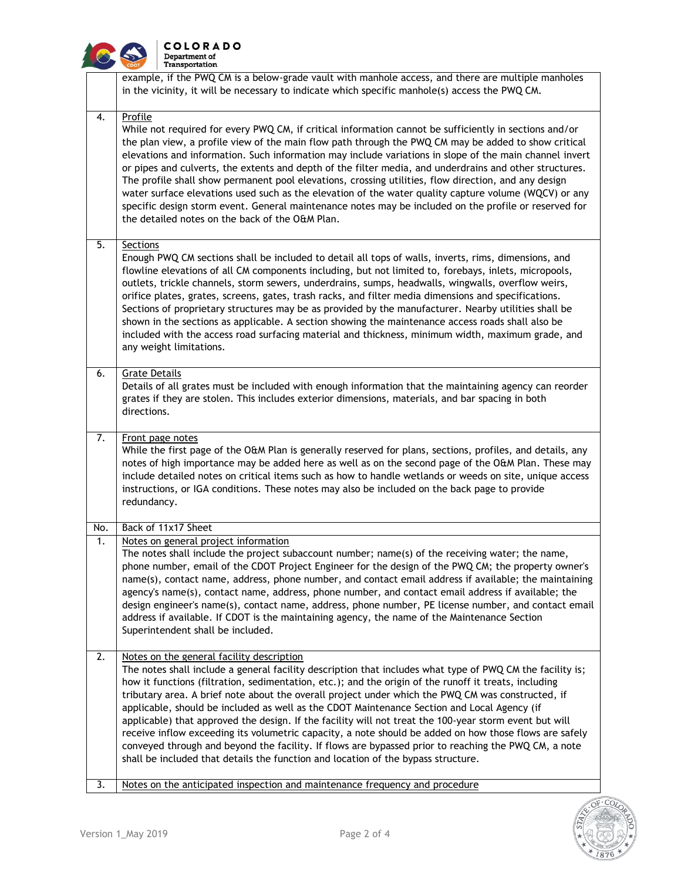

## **COLORADO**<br>Department of<br>Transportation

|     | example, if the PWQ CM is a below-grade vault with manhole access, and there are multiple manholes<br>in the vicinity, it will be necessary to indicate which specific manhole(s) access the PWQ CM.                                                                                                                                                                                                                                                                                                                                                                                                                                                                                                                                                                                                                                                                                 |
|-----|--------------------------------------------------------------------------------------------------------------------------------------------------------------------------------------------------------------------------------------------------------------------------------------------------------------------------------------------------------------------------------------------------------------------------------------------------------------------------------------------------------------------------------------------------------------------------------------------------------------------------------------------------------------------------------------------------------------------------------------------------------------------------------------------------------------------------------------------------------------------------------------|
| 4.  | Profile<br>While not required for every PWQ CM, if critical information cannot be sufficiently in sections and/or<br>the plan view, a profile view of the main flow path through the PWQ CM may be added to show critical<br>elevations and information. Such information may include variations in slope of the main channel invert<br>or pipes and culverts, the extents and depth of the filter media, and underdrains and other structures.<br>The profile shall show permanent pool elevations, crossing utilities, flow direction, and any design<br>water surface elevations used such as the elevation of the water quality capture volume (WQCV) or any<br>specific design storm event. General maintenance notes may be included on the profile or reserved for<br>the detailed notes on the back of the O&M Plan.                                                         |
| 5.  | <b>Sections</b><br>Enough PWQ CM sections shall be included to detail all tops of walls, inverts, rims, dimensions, and<br>flowline elevations of all CM components including, but not limited to, forebays, inlets, micropools,<br>outlets, trickle channels, storm sewers, underdrains, sumps, headwalls, wingwalls, overflow weirs,<br>orifice plates, grates, screens, gates, trash racks, and filter media dimensions and specifications.<br>Sections of proprietary structures may be as provided by the manufacturer. Nearby utilities shall be<br>shown in the sections as applicable. A section showing the maintenance access roads shall also be<br>included with the access road surfacing material and thickness, minimum width, maximum grade, and<br>any weight limitations.                                                                                          |
| 6.  | <b>Grate Details</b><br>Details of all grates must be included with enough information that the maintaining agency can reorder<br>grates if they are stolen. This includes exterior dimensions, materials, and bar spacing in both<br>directions.                                                                                                                                                                                                                                                                                                                                                                                                                                                                                                                                                                                                                                    |
| 7.  | Front page notes<br>While the first page of the O&M Plan is generally reserved for plans, sections, profiles, and details, any<br>notes of high importance may be added here as well as on the second page of the O&M Plan. These may<br>include detailed notes on critical items such as how to handle wetlands or weeds on site, unique access<br>instructions, or IGA conditions. These notes may also be included on the back page to provide<br>redundancy.                                                                                                                                                                                                                                                                                                                                                                                                                     |
| No. | Back of 11x17 Sheet                                                                                                                                                                                                                                                                                                                                                                                                                                                                                                                                                                                                                                                                                                                                                                                                                                                                  |
| 1.  | Notes on general project information<br>The notes shall include the project subaccount number; name(s) of the receiving water; the name,<br>phone number, email of the CDOT Project Engineer for the design of the PWQ CM; the property owner's<br>name(s), contact name, address, phone number, and contact email address if available; the maintaining<br>agency's name(s), contact name, address, phone number, and contact email address if available; the<br>design engineer's name(s), contact name, address, phone number, PE license number, and contact email<br>address if available. If CDOT is the maintaining agency, the name of the Maintenance Section<br>Superintendent shall be included.                                                                                                                                                                          |
| 2.  | Notes on the general facility description<br>The notes shall include a general facility description that includes what type of PWQ CM the facility is;<br>how it functions (filtration, sedimentation, etc.); and the origin of the runoff it treats, including<br>tributary area. A brief note about the overall project under which the PWQ CM was constructed, if<br>applicable, should be included as well as the CDOT Maintenance Section and Local Agency (if<br>applicable) that approved the design. If the facility will not treat the 100-year storm event but will<br>receive inflow exceeding its volumetric capacity, a note should be added on how those flows are safely<br>conveyed through and beyond the facility. If flows are bypassed prior to reaching the PWQ CM, a note<br>shall be included that details the function and location of the bypass structure. |
| 3.  | Notes on the anticipated inspection and maintenance frequency and procedure                                                                                                                                                                                                                                                                                                                                                                                                                                                                                                                                                                                                                                                                                                                                                                                                          |

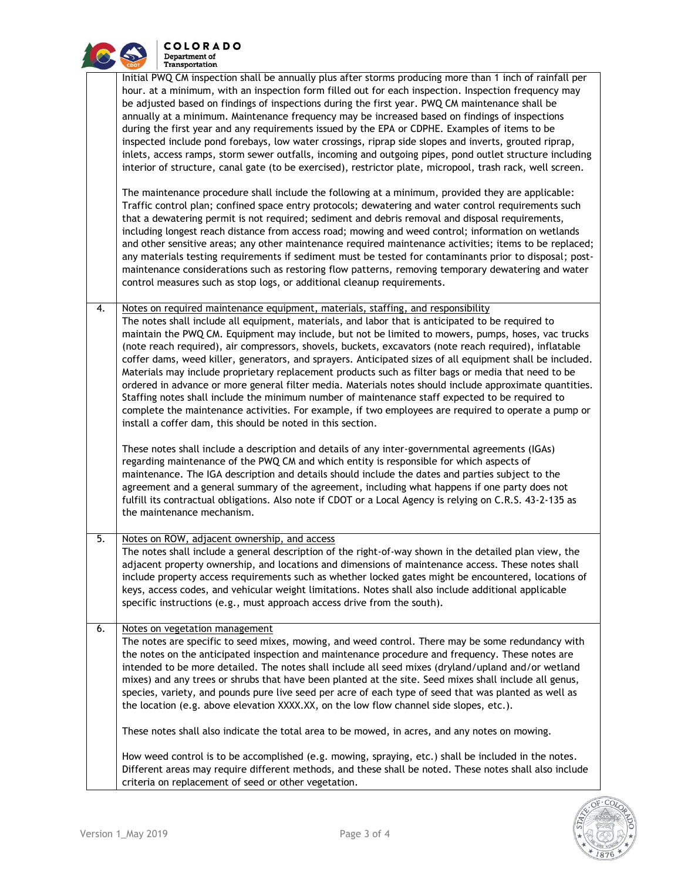

**COLORADO** Department of Transportation

| Initial PWQ CM inspection shall be annually plus after storms producing more than 1 inch of rainfall per<br>hour, at a minimum, with an inspection form filled out for each inspection, Inspection frequency may |
|------------------------------------------------------------------------------------------------------------------------------------------------------------------------------------------------------------------|
|                                                                                                                                                                                                                  |
|                                                                                                                                                                                                                  |
| be adjusted based on findings of inspections during the first year. PWQ CM maintenance shall be                                                                                                                  |
| annually at a minimum. Maintenance frequency may be increased based on findings of inspections                                                                                                                   |
| during the first year and any requirements issued by the EPA or CDPHE. Examples of items to be                                                                                                                   |
| inspected include pond forebays, low water crossings, riprap side slopes and inverts, grouted riprap,                                                                                                            |
| inlets, access ramps, storm sewer outfalls, incoming and outgoing pipes, pond outlet structure including                                                                                                         |
| interior of structure, canal gate (to be exercised), restrictor plate, micropool, trash rack, well screen.                                                                                                       |
|                                                                                                                                                                                                                  |
| The maintenance procedure shall include the following at a minimum, provided they are applicable:                                                                                                                |
| Traffic control plan; confined space entry protocols; dewatering and water control requirements such                                                                                                             |
| that a dewatering permit is not required; sediment and debris removal and disposal requirements,                                                                                                                 |
| including longest reach distance from access road; mowing and weed control; information on wetlands                                                                                                              |
| and other sensitive areas; any other maintenance required maintenance activities; items to be replaced;                                                                                                          |
| any materials testing requirements if sediment must be tested for contaminants prior to disposal; post-                                                                                                          |
| maintenance considerations such as restoring flow patterns, removing temporary dewatering and water                                                                                                              |
|                                                                                                                                                                                                                  |

4. Notes on required maintenance equipment, materials, staffing, and responsibility The notes shall include all equipment, materials, and labor that is anticipated to be required to maintain the PWQ CM. Equipment may include, but not be limited to mowers, pumps, hoses, vac trucks (note reach required), air compressors, shovels, buckets, excavators (note reach required), inflatable coffer dams, weed killer, generators, and sprayers. Anticipated sizes of all equipment shall be included. Materials may include proprietary replacement products such as filter bags or media that need to be ordered in advance or more general filter media. Materials notes should include approximate quantities. Staffing notes shall include the minimum number of maintenance staff expected to be required to complete the maintenance activities. For example, if two employees are required to operate a pump or install a coffer dam, this should be noted in this section.

control measures such as stop logs, or additional cleanup requirements.

These notes shall include a description and details of any inter-governmental agreements (IGAs) regarding maintenance of the PWQ CM and which entity is responsible for which aspects of maintenance. The IGA description and details should include the dates and parties subject to the agreement and a general summary of the agreement, including what happens if one party does not fulfill its contractual obligations. Also note if CDOT or a Local Agency is relying on C.R.S. 43-2-135 as the maintenance mechanism.

## 5. Notes on ROW, adjacent ownership, and access The notes shall include a general description of the right-of-way shown in the detailed plan view, the

adjacent property ownership, and locations and dimensions of maintenance access. These notes shall include property access requirements such as whether locked gates might be encountered, locations of keys, access codes, and vehicular weight limitations. Notes shall also include additional applicable specific instructions (e.g., must approach access drive from the south).

## 6. Notes on vegetation management

The notes are specific to seed mixes, mowing, and weed control. There may be some redundancy with the notes on the anticipated inspection and maintenance procedure and frequency. These notes are intended to be more detailed. The notes shall include all seed mixes (dryland/upland and/or wetland mixes) and any trees or shrubs that have been planted at the site. Seed mixes shall include all genus, species, variety, and pounds pure live seed per acre of each type of seed that was planted as well as the location (e.g. above elevation XXXX.XX, on the low flow channel side slopes, etc.).

These notes shall also indicate the total area to be mowed, in acres, and any notes on mowing.

How weed control is to be accomplished (e.g. mowing, spraying, etc.) shall be included in the notes. Different areas may require different methods, and these shall be noted. These notes shall also include criteria on replacement of seed or other vegetation.